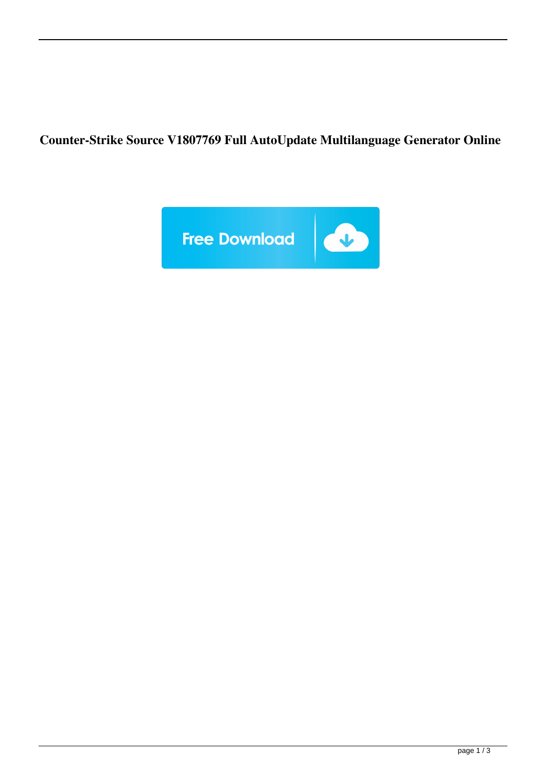**Counter-Strike Source V1807769 Full AutoUpdate Multilanguage Generator Online**

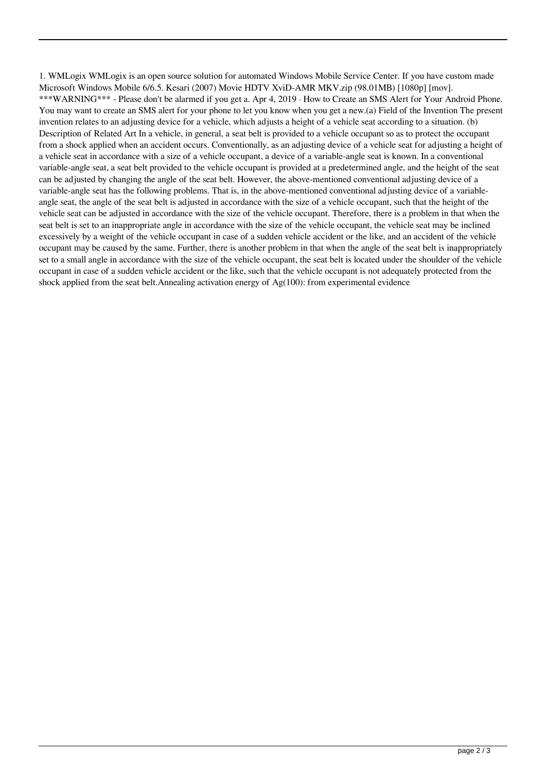1. WMLogix WMLogix is an open source solution for automated Windows Mobile Service Center. If you have custom made Microsoft Windows Mobile 6/6.5. Kesari (2007) Movie HDTV XviD-AMR MKV.zip (98.01MB) [1080p] [mov]. \*\*\*WARNING\*\*\* - Please don't be alarmed if you get a. Apr 4, 2019 · How to Create an SMS Alert for Your Android Phone. You may want to create an SMS alert for your phone to let you know when you get a new.(a) Field of the Invention The present invention relates to an adjusting device for a vehicle, which adjusts a height of a vehicle seat according to a situation. (b) Description of Related Art In a vehicle, in general, a seat belt is provided to a vehicle occupant so as to protect the occupant from a shock applied when an accident occurs. Conventionally, as an adjusting device of a vehicle seat for adjusting a height of a vehicle seat in accordance with a size of a vehicle occupant, a device of a variable-angle seat is known. In a conventional variable-angle seat, a seat belt provided to the vehicle occupant is provided at a predetermined angle, and the height of the seat can be adjusted by changing the angle of the seat belt. However, the above-mentioned conventional adjusting device of a variable-angle seat has the following problems. That is, in the above-mentioned conventional adjusting device of a variableangle seat, the angle of the seat belt is adjusted in accordance with the size of a vehicle occupant, such that the height of the vehicle seat can be adjusted in accordance with the size of the vehicle occupant. Therefore, there is a problem in that when the seat belt is set to an inappropriate angle in accordance with the size of the vehicle occupant, the vehicle seat may be inclined excessively by a weight of the vehicle occupant in case of a sudden vehicle accident or the like, and an accident of the vehicle occupant may be caused by the same. Further, there is another problem in that when the angle of the seat belt is inappropriately set to a small angle in accordance with the size of the vehicle occupant, the seat belt is located under the shoulder of the vehicle occupant in case of a sudden vehicle accident or the like, such that the vehicle occupant is not adequately protected from the shock applied from the seat belt.Annealing activation energy of Ag(100): from experimental evidence